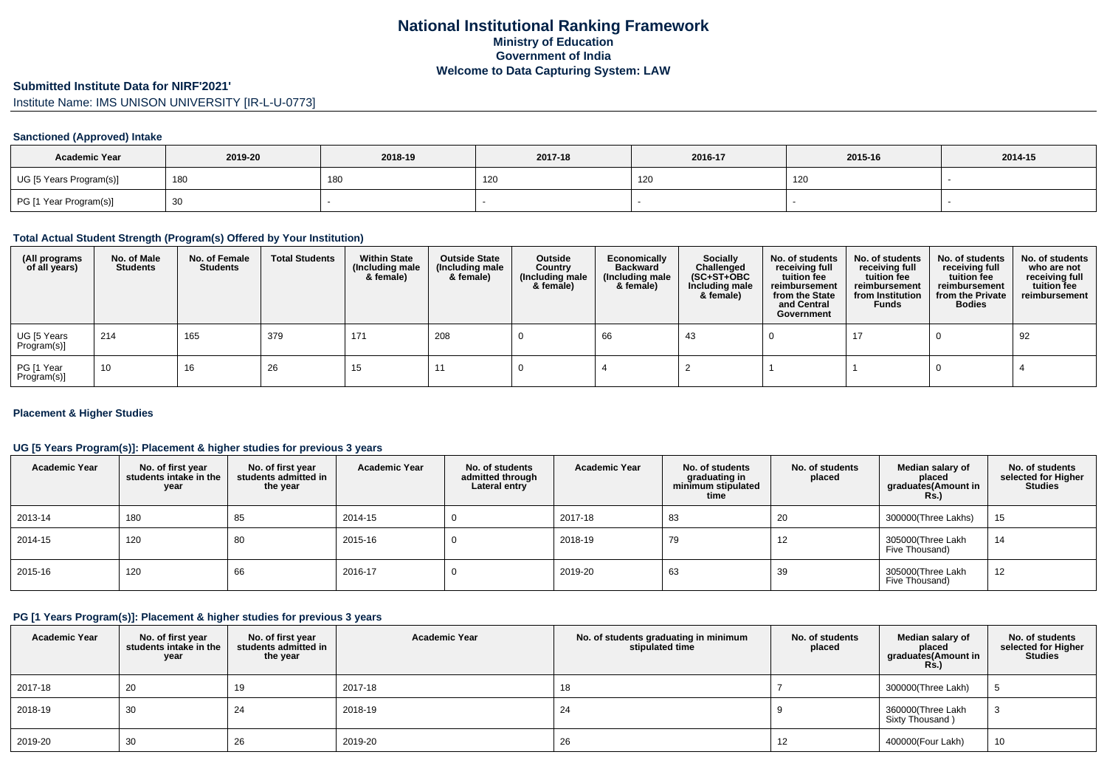#### **Submitted Institute Data for NIRF'2021'**

Institute Name: IMS UNISON UNIVERSITY [IR-L-U-0773]

#### **Sanctioned (Approved) Intake**

| <b>Academic Year</b>    | 2019-20 | 2018-19 | 2017-18 | 2016-17 | 2015-16 | 2014-15 |
|-------------------------|---------|---------|---------|---------|---------|---------|
| UG [5 Years Program(s)] | 180     | 180     | 120     | 120     | 120     |         |
| PG [1 Year Program(s)]  |         |         |         |         |         |         |

## **Total Actual Student Strength (Program(s) Offered by Your Institution)**

| (All programs<br>of all years) | No. of Male<br><b>Students</b> | No. of Female<br><b>Students</b> | <b>Total Students</b> | <b>Within State</b><br>(Including male<br>& female) | <b>Outside State</b><br>(Including male<br>& female) | Outside<br>Country<br>(Including male<br>& female) | Economically<br><b>Backward</b><br>(Including male<br>& female) | <b>Socially</b><br>Challenged<br>$(SC+ST+OBC)$<br>Including male<br>& female) | No. of students<br>receiving full<br>tuition fee<br>reimbursement<br>from the State<br>and Central<br>Government | No. of students<br>receiving full<br>tuition fee<br>reimbursement<br>from Institution<br><b>Funds</b> | No. of students<br>receiving full<br>tuition fee<br>reimbursement<br>from the Private<br><b>Bodies</b> | No. of students<br>who are not<br>receiving full<br>tuition fee<br>reimbursement |
|--------------------------------|--------------------------------|----------------------------------|-----------------------|-----------------------------------------------------|------------------------------------------------------|----------------------------------------------------|-----------------------------------------------------------------|-------------------------------------------------------------------------------|------------------------------------------------------------------------------------------------------------------|-------------------------------------------------------------------------------------------------------|--------------------------------------------------------------------------------------------------------|----------------------------------------------------------------------------------|
| UG [5 Years<br>Program(s)]     | 214                            | 165                              | 379                   | 171                                                 | 208                                                  |                                                    | 66                                                              | -43                                                                           |                                                                                                                  | -17                                                                                                   |                                                                                                        | 92                                                                               |
| PG [1 Year<br>Program(s)]      | 10                             | 16                               | 26                    | 15                                                  |                                                      |                                                    |                                                                 |                                                                               |                                                                                                                  |                                                                                                       |                                                                                                        |                                                                                  |

#### **Placement & Higher Studies**

#### **UG [5 Years Program(s)]: Placement & higher studies for previous 3 years**

| <b>Academic Year</b> | No. of first year<br>students intake in the<br>year | No. of first year<br>students admitted in<br>the year | <b>Academic Year</b> | No. of students<br>admitted through<br>Lateral entry | <b>Academic Year</b> | No. of students<br>graduating in<br>minimum stipulated<br>time | No. of students<br>placed | Median salary of<br>placed<br>graduates(Amount in<br>Rs. | No. of students<br>selected for Higher<br><b>Studies</b> |
|----------------------|-----------------------------------------------------|-------------------------------------------------------|----------------------|------------------------------------------------------|----------------------|----------------------------------------------------------------|---------------------------|----------------------------------------------------------|----------------------------------------------------------|
| 2013-14              | 180                                                 | 85                                                    | 2014-15              |                                                      | 2017-18              | 83                                                             | 20                        | 300000(Three Lakhs)                                      | 15                                                       |
| 2014-15              | 120                                                 | 80                                                    | 2015-16              |                                                      | 2018-19              | 79                                                             | 12                        | 305000(Three Lakh<br>Five Thousand)                      | 14                                                       |
| 2015-16              | 120                                                 | 66                                                    | 2016-17              |                                                      | 2019-20              | 63                                                             | 39                        | 305000(Three Lakh<br>Five Thousand)                      | 12                                                       |

## **PG [1 Years Program(s)]: Placement & higher studies for previous 3 years**

| <b>Academic Year</b> | No. of first year<br>students intake in the<br>year | No. of first year<br>students admitted in<br>the year | <b>Academic Year</b> | No. of students graduating in minimum<br>stipulated time | No. of students<br>placed | Median salary of<br>placed<br>graduates(Amount in<br><b>Rs.)</b> | No. of students<br>selected for Higher<br><b>Studies</b> |
|----------------------|-----------------------------------------------------|-------------------------------------------------------|----------------------|----------------------------------------------------------|---------------------------|------------------------------------------------------------------|----------------------------------------------------------|
| 2017-18              | 20                                                  | 19                                                    | 2017-18              | 18                                                       |                           | 300000(Three Lakh)                                               |                                                          |
| 2018-19              | 30                                                  | 24                                                    | 2018-19              | 24                                                       |                           | 360000(Three Lakh<br>Sixty Thousand)                             |                                                          |
| 2019-20              | 30                                                  | 26                                                    | 2019-20              | 26                                                       | 12                        | 400000(Four Lakh)                                                | 10                                                       |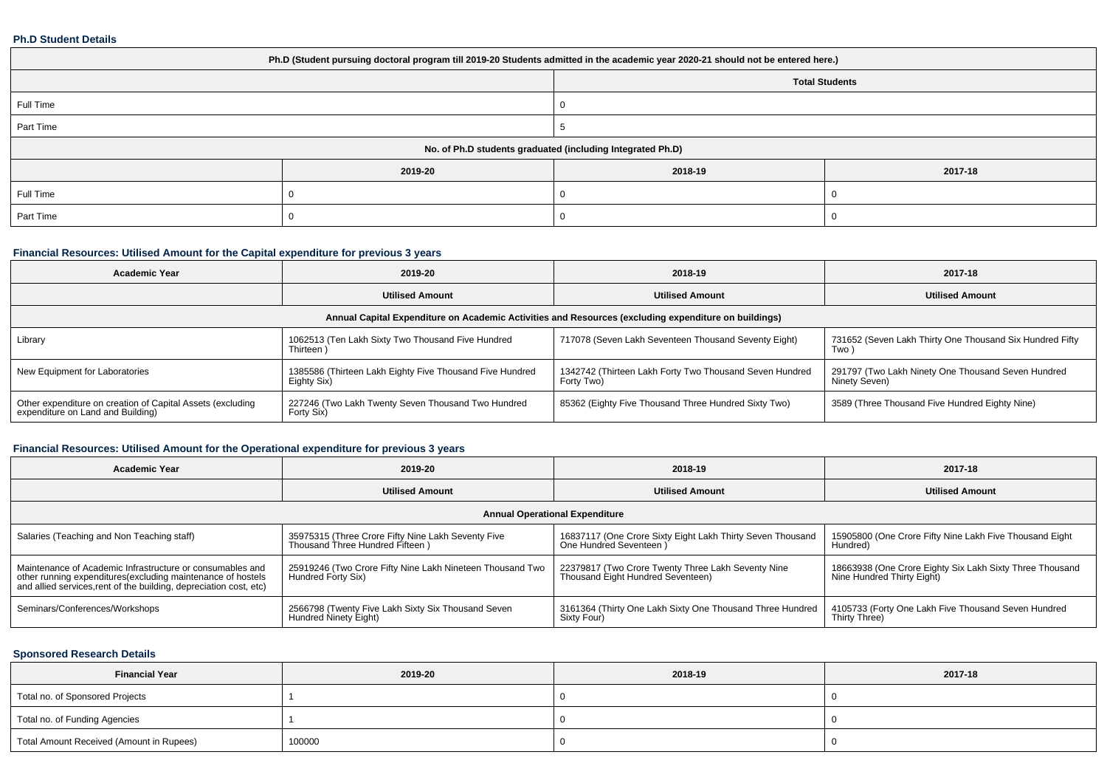#### **Ph.D Student Details**

| Ph.D (Student pursuing doctoral program till 2019-20 Students admitted in the academic year 2020-21 should not be entered here.) |         |                       |         |  |  |  |  |
|----------------------------------------------------------------------------------------------------------------------------------|---------|-----------------------|---------|--|--|--|--|
|                                                                                                                                  |         | <b>Total Students</b> |         |  |  |  |  |
| Full Time                                                                                                                        |         |                       |         |  |  |  |  |
| Part Time                                                                                                                        |         |                       |         |  |  |  |  |
| No. of Ph.D students graduated (including Integrated Ph.D)                                                                       |         |                       |         |  |  |  |  |
|                                                                                                                                  | 2019-20 | 2018-19               | 2017-18 |  |  |  |  |
| Full Time                                                                                                                        |         |                       |         |  |  |  |  |
| Part Time                                                                                                                        |         |                       |         |  |  |  |  |

# **Financial Resources: Utilised Amount for the Capital expenditure for previous 3 years**

| <b>Academic Year</b>                                                                                 | 2019-20                                                                 | 2018-19                                                               | 2017-18                                                             |  |  |  |  |  |  |
|------------------------------------------------------------------------------------------------------|-------------------------------------------------------------------------|-----------------------------------------------------------------------|---------------------------------------------------------------------|--|--|--|--|--|--|
|                                                                                                      | <b>Utilised Amount</b>                                                  | <b>Utilised Amount</b>                                                | <b>Utilised Amount</b>                                              |  |  |  |  |  |  |
| Annual Capital Expenditure on Academic Activities and Resources (excluding expenditure on buildings) |                                                                         |                                                                       |                                                                     |  |  |  |  |  |  |
| Library                                                                                              | 1062513 (Ten Lakh Sixty Two Thousand Five Hundred<br>Thirteen)          | 717078 (Seven Lakh Seventeen Thousand Seventy Eight)                  | 731652 (Seven Lakh Thirty One Thousand Six Hundred Fifty<br>Two )   |  |  |  |  |  |  |
| New Equipment for Laboratories                                                                       | 1385586 (Thirteen Lakh Eighty Five Thousand Five Hundred<br>Eighty Six) | 1342742 (Thirteen Lakh Forty Two Thousand Seven Hundred<br>Forty Two) | 291797 (Two Lakh Ninety One Thousand Seven Hundred<br>Ninety Seven) |  |  |  |  |  |  |
| Other expenditure on creation of Capital Assets (excluding<br>expenditure on Land and Building)      | 227246 (Two Lakh Twenty Seven Thousand Two Hundred<br>Forty Six)        | 85362 (Eighty Five Thousand Three Hundred Sixty Two)                  | 3589 (Three Thousand Five Hundred Eighty Nine)                      |  |  |  |  |  |  |

# **Financial Resources: Utilised Amount for the Operational expenditure for previous 3 years**

| <b>Academic Year</b>                                                                                                                                                                            | 2019-20                                                                               | 2018-19                                                                                 | 2017-18                                                                                |  |  |  |  |  |  |
|-------------------------------------------------------------------------------------------------------------------------------------------------------------------------------------------------|---------------------------------------------------------------------------------------|-----------------------------------------------------------------------------------------|----------------------------------------------------------------------------------------|--|--|--|--|--|--|
|                                                                                                                                                                                                 | <b>Utilised Amount</b>                                                                | <b>Utilised Amount</b>                                                                  | <b>Utilised Amount</b>                                                                 |  |  |  |  |  |  |
| <b>Annual Operational Expenditure</b>                                                                                                                                                           |                                                                                       |                                                                                         |                                                                                        |  |  |  |  |  |  |
| Salaries (Teaching and Non Teaching staff)                                                                                                                                                      | 35975315 (Three Crore Fifty Nine Lakh Seventy Five<br>Thousand Three Hundred Fifteen) | 16837117 (One Crore Sixty Eight Lakh Thirty Seven Thousand<br>One Hundred Seventeen )   | 15905800 (One Crore Fifty Nine Lakh Five Thousand Eight<br>Hundred)                    |  |  |  |  |  |  |
| Maintenance of Academic Infrastructure or consumables and<br>other running expenditures (excluding maintenance of hostels<br>and allied services, rent of the building, depreciation cost, etc) | 25919246 (Two Crore Fifty Nine Lakh Nineteen Thousand Two<br>Hundred Forty Six)       | 22379817 (Two Crore Twenty Three Lakh Seventy Nine<br>Thousand Eight Hundred Seventeen) | 18663938 (One Crore Eighty Six Lakh Sixty Three Thousand<br>Nine Hundred Thirty Eight) |  |  |  |  |  |  |
| Seminars/Conferences/Workshops                                                                                                                                                                  | 2566798 (Twenty Five Lakh Sixty Six Thousand Seven<br>Hundred Ninety Eight)           | 3161364 (Thirty One Lakh Sixty One Thousand Three Hundred<br>Sixty Four)                | 4105733 (Forty One Lakh Five Thousand Seven Hundred<br>Thirty Three)                   |  |  |  |  |  |  |

### **Sponsored Research Details**

| <b>Financial Year</b>                    | 2019-20 | 2018-19 | 2017-18 |
|------------------------------------------|---------|---------|---------|
| Total no. of Sponsored Projects          |         |         |         |
| Total no. of Funding Agencies            |         |         |         |
| Total Amount Received (Amount in Rupees) | 100000  |         |         |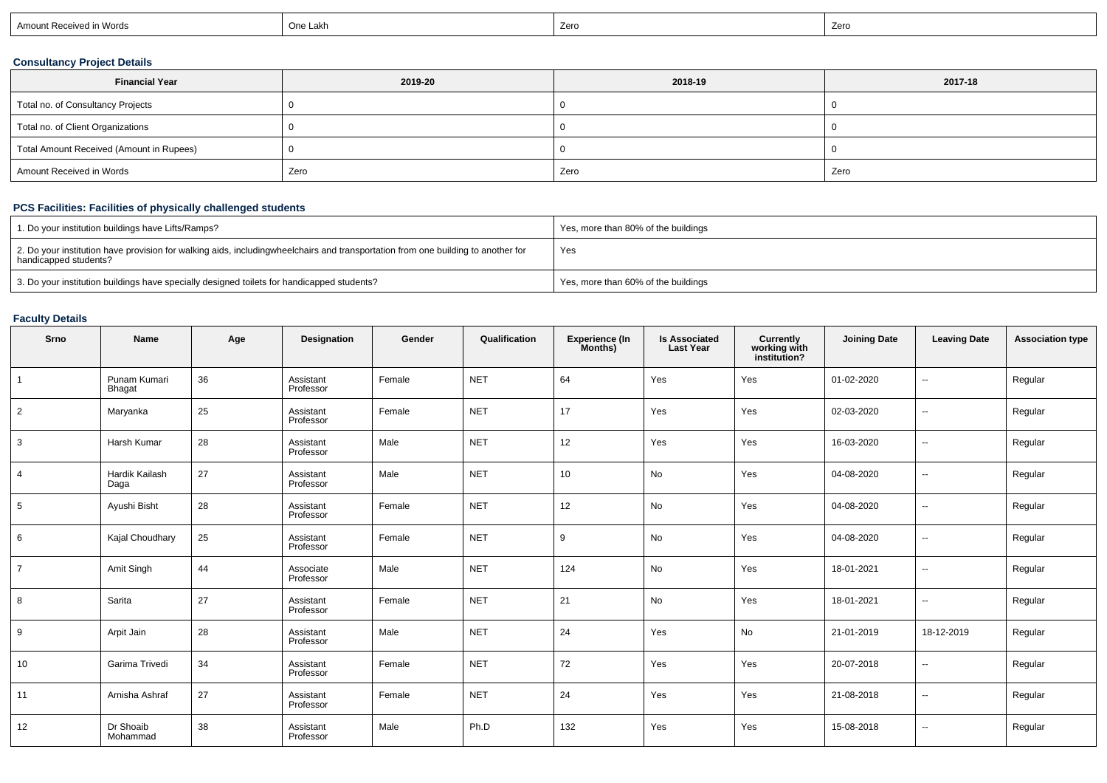| $101 - -1$<br>One Lakh<br>Amour'<br>hount Received in Words | Zero | Zero |
|-------------------------------------------------------------|------|------|
|-------------------------------------------------------------|------|------|

# **Consultancy Project Details**

| <b>Financial Year</b>                    | 2019-20 | 2018-19 | 2017-18 |
|------------------------------------------|---------|---------|---------|
| Total no. of Consultancy Projects        |         |         |         |
| Total no. of Client Organizations        |         |         |         |
| Total Amount Received (Amount in Rupees) |         |         |         |
| Amount Received in Words                 | Zero    | Zero    | Zero    |

# **PCS Facilities: Facilities of physically challenged students**

| 1. Do your institution buildings have Lifts/Ramps?                                                                                                        | Yes, more than 80% of the buildings |
|-----------------------------------------------------------------------------------------------------------------------------------------------------------|-------------------------------------|
| 2. Do your institution have provision for walking aids, includingwheelchairs and transportation from one building to another for<br>handicapped students? | Yes                                 |
| 3. Do your institution buildings have specially designed toilets for handicapped students?                                                                | Yes, more than 60% of the buildings |

# **Faculty Details**

| Srno           | Name                   | Age | Designation            | Gender | Qualification | <b>Experience (In</b><br>Months) | <b>Is Associated</b><br><b>Last Year</b> | <b>Currently</b><br>working with<br>institution? | <b>Joining Date</b> | <b>Leaving Date</b>      | <b>Association type</b> |
|----------------|------------------------|-----|------------------------|--------|---------------|----------------------------------|------------------------------------------|--------------------------------------------------|---------------------|--------------------------|-------------------------|
|                | Punam Kumari<br>Bhagat | 36  | Assistant<br>Professor | Female | <b>NET</b>    | 64                               | Yes                                      | Yes                                              | 01-02-2020          | $\sim$                   | Regular                 |
| $\overline{2}$ | Maryanka               | 25  | Assistant<br>Professor | Female | <b>NET</b>    | 17                               | Yes                                      | Yes                                              | 02-03-2020          | $\overline{\phantom{a}}$ | Regular                 |
| 3              | Harsh Kumar            | 28  | Assistant<br>Professor | Male   | <b>NET</b>    | 12                               | Yes                                      | Yes                                              | 16-03-2020          | $\sim$                   | Regular                 |
| $\overline{4}$ | Hardik Kailash<br>Daga | 27  | Assistant<br>Professor | Male   | <b>NET</b>    | 10                               | No                                       | Yes                                              | 04-08-2020          | $\sim$                   | Regular                 |
| 5              | Ayushi Bisht           | 28  | Assistant<br>Professor | Female | <b>NET</b>    | 12                               | No                                       | Yes                                              | 04-08-2020          | $\sim$                   | Regular                 |
| 6              | Kajal Choudhary        | 25  | Assistant<br>Professor | Female | <b>NET</b>    | 9                                | No                                       | Yes                                              | 04-08-2020          | $\sim$                   | Regular                 |
| $\overline{7}$ | Amit Singh             | 44  | Associate<br>Professor | Male   | <b>NET</b>    | 124                              | No                                       | Yes                                              | 18-01-2021          | $\sim$                   | Regular                 |
| 8              | Sarita                 | 27  | Assistant<br>Professor | Female | <b>NET</b>    | 21                               | No                                       | Yes                                              | 18-01-2021          | $\overline{\phantom{a}}$ | Regular                 |
| 9              | Arpit Jain             | 28  | Assistant<br>Professor | Male   | <b>NET</b>    | 24                               | Yes                                      | No                                               | 21-01-2019          | 18-12-2019               | Regular                 |
| 10             | Garima Trivedi         | 34  | Assistant<br>Professor | Female | <b>NET</b>    | 72                               | Yes                                      | Yes                                              | 20-07-2018          | $\sim$                   | Regular                 |
| 11             | Arnisha Ashraf         | 27  | Assistant<br>Professor | Female | <b>NET</b>    | 24                               | Yes                                      | Yes                                              | 21-08-2018          | $\sim$                   | Regular                 |
| 12             | Dr Shoaib<br>Mohammad  | 38  | Assistant<br>Professor | Male   | Ph.D          | 132                              | Yes                                      | Yes                                              | 15-08-2018          | $\overline{\phantom{a}}$ | Regular                 |